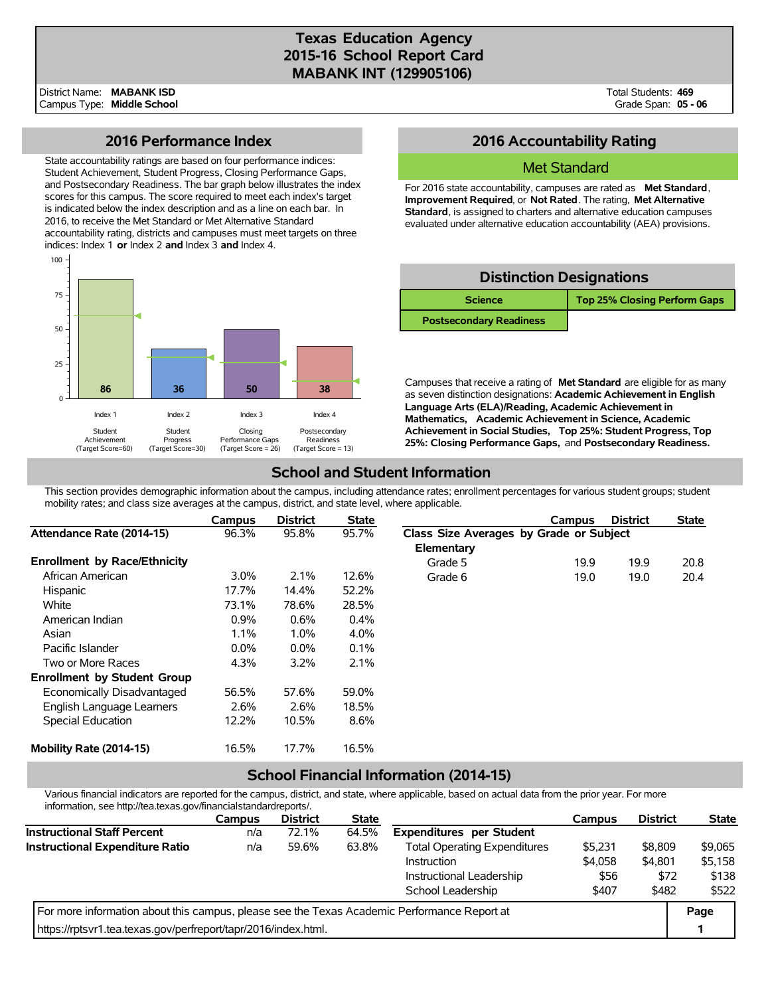# **Texas Education Agency 2015-16 School Report Card MABANK INT (129905106)**

### **2016 Performance Index**

State accountability ratings are based on four performance indices: Student Achievement, Student Progress, Closing Performance Gaps, and Postsecondary Readiness. The bar graph below illustrates the index scores for this campus. The score required to meet each index's target is indicated below the index description and as a line on each bar. In 2016, to receive the Met Standard or Met Alternative Standard accountability rating, districts and campuses must meet targets on three indices: Index 1 **or** Index 2 **and** Index 3 **and** Index 4.



## **2016 Accountability Rating**

### Met Standard

For 2016 state accountability, campuses are rated as **Met Standard**, **Improvement Required**, or **Not Rated**. The rating, **Met Alternative Standard**, is assigned to charters and alternative education campuses evaluated under alternative education accountability (AEA) provisions.

| <b>Distinction Designations</b> |                                     |  |  |  |  |  |  |
|---------------------------------|-------------------------------------|--|--|--|--|--|--|
| <b>Science</b>                  | <b>Top 25% Closing Perform Gaps</b> |  |  |  |  |  |  |
| <b>Postsecondary Readiness</b>  |                                     |  |  |  |  |  |  |

Campuses that receive a rating of **Met Standard** are eligible for as many as seven distinction designations: **Academic Achievement in English Language Arts (ELA)/Reading, Academic Achievement in Mathematics, Academic Achievement in Science, Academic Achievement in Social Studies, Top 25%: Student Progress, Top 25%: Closing Performance Gaps,** and **Postsecondary Readiness.**

# **School and Student Information**

This section provides demographic information about the campus, including attendance rates; enrollment percentages for various student groups; student mobility rates; and class size averages at the campus, district, and state level, where applicable.

|                                     | Campus  | <b>District</b> | <b>State</b> |                                         | Campus | <b>District</b> | <b>State</b> |
|-------------------------------------|---------|-----------------|--------------|-----------------------------------------|--------|-----------------|--------------|
| Attendance Rate (2014-15)           | 96.3%   | 95.8%           | 95.7%        | Class Size Averages by Grade or Subject |        |                 |              |
|                                     |         |                 |              | Elementary                              |        |                 |              |
| <b>Enrollment by Race/Ethnicity</b> |         |                 |              | Grade 5                                 | 19.9   | 19.9            | 20.8         |
| African American                    | $3.0\%$ | 2.1%            | 12.6%        | Grade 6                                 | 19.0   | 19.0            | 20.4         |
| Hispanic                            | 17.7%   | 14.4%           | 52.2%        |                                         |        |                 |              |
| White                               | 73.1%   | 78.6%           | 28.5%        |                                         |        |                 |              |
| American Indian                     | 0.9%    | 0.6%            | $0.4\%$      |                                         |        |                 |              |
| Asian                               | 1.1%    | 1.0%            | 4.0%         |                                         |        |                 |              |
| Pacific Islander                    | $0.0\%$ | $0.0\%$         | 0.1%         |                                         |        |                 |              |
| Two or More Races                   | 4.3%    | 3.2%            | 2.1%         |                                         |        |                 |              |
| <b>Enrollment by Student Group</b>  |         |                 |              |                                         |        |                 |              |
| Economically Disadvantaged          | 56.5%   | 57.6%           | 59.0%        |                                         |        |                 |              |
| English Language Learners           | 2.6%    | 2.6%            | 18.5%        |                                         |        |                 |              |
| Special Education                   | 12.2%   | 10.5%           | 8.6%         |                                         |        |                 |              |
| Mobility Rate (2014-15)             | 16.5%   | 17.7%           | 16.5%        |                                         |        |                 |              |

## **School Financial Information (2014-15)**

Various financial indicators are reported for the campus, district, and state, where applicable, based on actual data from the prior year. For more information, see http://tea.texas.gov/financialstandardreports/.

|                                                                                             | <b>Campus</b> | <b>District</b> | <b>State</b> |                                     | Campus  | <b>District</b> | <b>State</b> |
|---------------------------------------------------------------------------------------------|---------------|-----------------|--------------|-------------------------------------|---------|-----------------|--------------|
| <b>Instructional Staff Percent</b>                                                          | n/a           | 72.1%           | 64.5%        | <b>Expenditures per Student</b>     |         |                 |              |
| <b>Instructional Expenditure Ratio</b>                                                      | n/a           | 59.6%           | 63.8%        | <b>Total Operating Expenditures</b> | \$5,231 | \$8,809         | \$9,065      |
|                                                                                             |               |                 |              | Instruction                         | \$4,058 | \$4.801         | \$5,158      |
|                                                                                             |               |                 |              | Instructional Leadership            | \$56    | \$72            | \$138        |
|                                                                                             |               |                 |              | School Leadership                   | \$407   | \$482           | \$522        |
| For more information about this campus, please see the Texas Academic Performance Report at |               |                 |              |                                     |         |                 |              |
| https://rptsvr1.tea.texas.gov/perfreport/tapr/2016/index.html.                              |               |                 |              |                                     |         |                 |              |